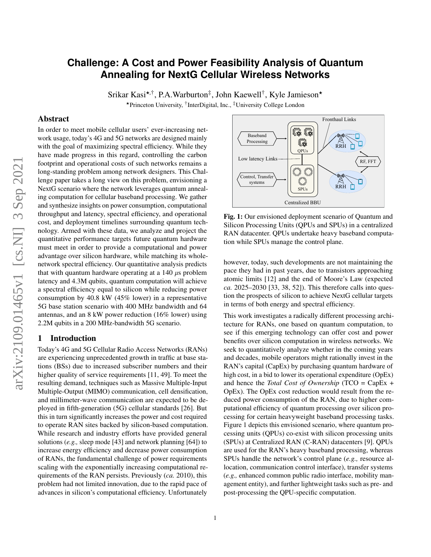# **Challenge: A Cost and Power Feasibility Analysis of Quantum Annealing for NextG Cellular Wireless Networks**

Srikar Kasi<sup>\*,†</sup>, P.A.Warburton<sup>‡</sup>, John Kaewell<sup>†</sup>, Kyle Jamieson\* ★Princeton University, † InterDigital, Inc., ‡University College London

#### Abstract

In order to meet mobile cellular users' ever-increasing network usage, today's 4G and 5G networks are designed mainly with the goal of maximizing spectral efficiency. While they have made progress in this regard, controlling the carbon footprint and operational costs of such networks remains a long-standing problem among network designers. This Challenge paper takes a long view on this problem, envisioning a NextG scenario where the network leverages quantum annealing computation for cellular baseband processing. We gather and synthesize insights on power consumption, computational throughput and latency, spectral efficiency, and operational cost, and deployment timelines surrounding quantum technology. Armed with these data, we analyze and project the quantitative performance targets future quantum hardware must meet in order to provide a computational and power advantage over silicon hardware, while matching its wholenetwork spectral efficiency. Our quantitative analysis predicts that with quantum hardware operating at a  $140 \mu s$  problem latency and 4.3M qubits, quantum computation will achieve a spectral efficiency equal to silicon while reducing power consumption by 40.8 kW (45% lower) in a representative 5G base station scenario with 400 MHz bandwidth and 64 antennas, and an 8 kW power reduction (16% lower) using 2.2M qubits in a 200 MHz-bandwidth 5G scenario.

## 1 Introduction

Today's 4G and 5G Cellular Radio Access Networks (RANs) are experiencing unprecedented growth in traffic at base stations (BSs) due to increased subscriber numbers and their higher quality of service requirements [\[11,](#page-8-0) [49\]](#page-9-0). To meet the resulting demand, techniques such as Massive Multiple-Input Multiple-Output (MIMO) communication, cell densification, and millimeter-wave communication are expected to be deployed in fifth-generation (5G) cellular standards [\[26\]](#page-8-1). But this in turn significantly increases the power and cost required to operate RAN sites backed by silicon-based computation. While research and industry efforts have provided general solutions (*e.g.,* sleep mode [\[43\]](#page-9-1) and network planning [\[64\]](#page-9-2)) to increase energy efficiency and decrease power consumption of RANs, the fundamental challenge of power requirements scaling with the exponentially increasing computational requirements of the RAN persists. Previously (*ca.* 2010), this problem had not limited innovation, due to the rapid pace of advances in silicon's computational efficiency. Unfortunately

<span id="page-0-0"></span>

Fig. 1: Our envisioned deployment scenario of Quantum and Silicon Processing Units (QPUs and SPUs) in a centralized RAN datacenter. QPUs undertake heavy baseband computation while SPUs manage the control plane.

however, today, such developments are not maintaining the pace they had in past years, due to transistors approaching atomic limits [\[12\]](#page-8-2) and the end of Moore's Law (expected *ca.* 2025–2030 [\[33,](#page-8-3) [38,](#page-8-4) [52\]](#page-9-3)). This therefore calls into question the prospects of silicon to achieve NextG cellular targets in terms of both energy and spectral efficiency.

This work investigates a radically different processing architecture for RANs, one based on quantum computation, to see if this emerging technology can offer cost and power benefits over silicon computation in wireless networks. We seek to quantitatively analyze whether in the coming years and decades, mobile operators might rationally invest in the RAN's capital (CapEx) by purchasing quantum hardware of high cost, in a bid to lower its operational expenditure (OpEx) and hence the *Total Cost of Ownership* (TCO = CapEx + OpEx). The OpEx cost reduction would result from the reduced power consumption of the RAN, due to higher computational efficiency of quantum processing over silicon processing for certain heavyweight baseband processing tasks. Figure [1](#page-0-0) depicts this envisioned scenario, where quantum processing units (QPUs) co-exist with silicon processing units (SPUs) at Centralized RAN (C-RAN) datacenters [\[9\]](#page-8-5). QPUs are used for the RAN's heavy baseband processing, whereas SPUs handle the network's control plane (*e.g.,* resource allocation, communication control interface), transfer systems (*e.g.,* enhanced common public radio interface, mobility management entity), and further lightweight tasks such as pre- and post-processing the QPU-specific computation.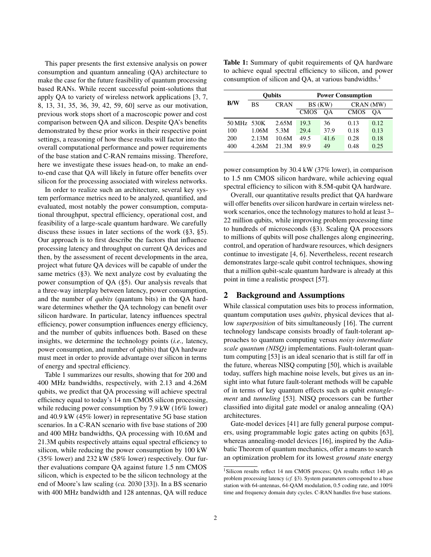This paper presents the first extensive analysis on power consumption and quantum annealing (QA) architecture to make the case for the future feasibility of quantum processing based RANs. While recent successful point-solutions that apply QA to variety of wireless network applications [\[3,](#page-8-6) [7,](#page-8-7) [8,](#page-8-8) [13,](#page-8-9) [31,](#page-8-10) [35,](#page-8-11) [36,](#page-8-12) [39,](#page-9-4) [42,](#page-9-5) [59,](#page-9-6) [60\]](#page-9-7) serve as our motivation, previous work stops short of a macroscopic power and cost comparison between QA and silicon. Despite QA's benefits demonstrated by these prior works in their respective point settings, a reasoning of how these results will factor into the overall computational performance and power requirements of the base station and C-RAN remains missing. Therefore, here we investigate these issues head-on, to make an endto-end case that QA will likely in future offer benefits over silicon for the processing associated with wireless networks.

In order to realize such an architecture, several key system performance metrics need to be analyzed, quantified, and evaluated, most notably the power consumption, computational throughput, spectral efficiency, operational cost, and feasibility of a large-scale quantum hardware. We carefully discuss these issues in later sections of the work ([§3,](#page-2-0) [§5\)](#page-5-0). Our approach is to first describe the factors that influence processing latency and throughput on current QA devices and then, by the assessment of recent developments in the area, project what future QA devices will be capable of under the same metrics ([§3\)](#page-2-0). We next analyze cost by evaluating the power consumption of QA ([§5\)](#page-5-0). Our analysis reveals that a three-way interplay between latency, power consumption, and the number of *qubits* (quantum bits) in the QA hardware determines whether the QA technology can benefit over silicon hardware. In particular, latency influences spectral efficiency, power consumption influences energy efficiency, and the number of qubits influences both. Based on these insights, we determine the technology points (*i.e.,* latency, power consumption, and number of qubits) that QA hardware must meet in order to provide advantage over silicon in terms of energy and spectral efficiency.

Table [1](#page-1-0) summarizes our results, showing that for 200 and 400 MHz bandwidths, respectively, with 2.13 and 4.26M qubits, we predict that QA processing will achieve spectral efficiency equal to today's 14 nm CMOS silicon processing, while reducing power consumption by 7.9 kW (16% lower) and 40.9 kW (45% lower) in representative 5G base station scenarios. In a C-RAN scenario with five base stations of 200 and 400 MHz bandwidths, QA processing with 10.6M and 21.3M qubits respectively attains equal spectral efficiency to silicon, while reducing the power consumption by 100 kW (35% lower) and 232 kW (58% lower) respectively. Our further evaluations compare QA against future 1.5 nm CMOS silicon, which is expected to be the silicon technology at the end of Moore's law scaling (*ca.* 2030 [\[33\]](#page-8-3)). In a BS scenario with 400 MHz bandwidth and 128 antennas, QA will reduce

<span id="page-1-0"></span>Table 1: Summary of qubit requirements of QA hardware to achieve equal spectral efficiency to silicon, and power consumption of silicon and QA, at various bandwidths.<sup>[1](#page-1-1)</sup>

|             |       | <b>Oubits</b> | <b>Power Consumption</b> |         |             |           |  |
|-------------|-------|---------------|--------------------------|---------|-------------|-----------|--|
| <b>B/W</b>  | BS    | <b>CRAN</b>   |                          | BS (KW) |             | CRAN (MW) |  |
|             |       |               | <b>CMOS</b>              | OА      | <b>CMOS</b> | OА        |  |
| 50 MHz 530K |       | 2.65M         | 19.3                     | 36      | 0.13        | 0.12      |  |
| 100         | 1.06M | 5.3M          | 29.4                     | 37.9    | 0.18        | 0.13      |  |
| 200         | 2.13M | 10.6M         | 49.5                     | 41.6    | 0.28        | 0.18      |  |
| 400         | 4.26M | 21.3M         | 89.9                     | 49      | 0.48        | 0.25      |  |

power consumption by 30.4 kW (37% lower), in comparison to 1.5 nm CMOS silicon hardware, while achieving equal spectral efficiency to silicon with 8.5M-qubit QA hardware.

Overall, our quantitative results predict that QA hardware will offer benefits over silicon hardware in certain wireless network scenarios, once the technology matures to hold at least 3– 22 million qubits, while improving problem processing time to hundreds of microseconds ([§3\)](#page-2-0). Scaling QA processors to millions of qubits will pose challenges along engineering, control, and operation of hardware resources, which designers continue to investigate [\[4,](#page-8-13) [6\]](#page-8-14). Nevertheless, recent research demonstrates large-scale qubit control techniques, showing that a million qubit-scale quantum hardware is already at this point in time a realistic prospect [\[57\]](#page-9-8).

### 2 Background and Assumptions

While classical computation uses bits to process information, quantum computation uses *qubits*, physical devices that allow *superposition* of bits simultaneously [\[16\]](#page-8-15). The current technology landscape consists broadly of fault-tolerant approaches to quantum computing versus *noisy intermediate scale quantum (NISQ)* implementations. Fault-tolerant quantum computing [\[53\]](#page-9-9) is an ideal scenario that is still far off in the future, whereas NISQ computing [\[50\]](#page-9-10), which is available today, suffers high machine noise levels, but gives us an insight into what future fault-tolerant methods will be capable of in terms of key quantum effects such as qubit *entanglement* and *tunneling* [\[53\]](#page-9-9). NISQ processors can be further classified into digital gate model or analog annealing (QA) architectures.

Gate-model devices [\[41\]](#page-9-11) are fully general purpose computers, using programmable logic gates acting on qubits [\[63\]](#page-9-12), whereas annealing-model devices [\[16\]](#page-8-15), inspired by the Adiabatic Theorem of quantum mechanics, offer a means to search an optimization problem for its lowest *ground state* energy

<span id="page-1-1"></span><sup>&</sup>lt;sup>1</sup>Silicon results reflect 14 nm CMOS process; QA results reflect 140  $\mu$ s problem processing latency (*cf.* [§3\)](#page-2-0). System parameters correspond to a base station with 64-antennas, 64-QAM modulation, 0.5 coding rate, and 100% time and frequency domain duty cycles. C-RAN handles five base stations.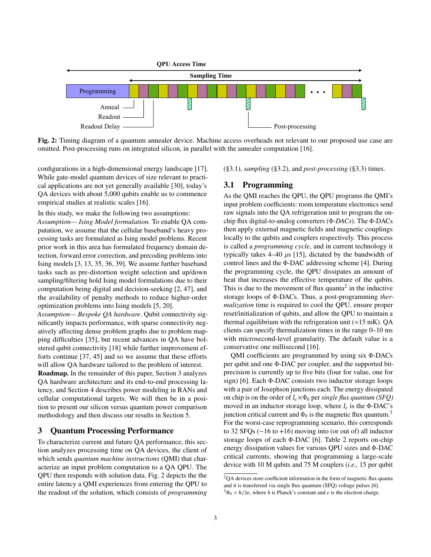<span id="page-2-1"></span>

Fig. 2: Timing diagram of a quantum annealer device. Machine access overheads not relevant to our proposed use case are omitted. Post-processing runs on integrated silicon, in parallel with the annealer computation [\[16\]](#page-8-15).

configurations in a high-dimensional energy landscape [\[17\]](#page-8-16). While gate-model quantum devices of size relevant to practical applications are not yet generally available [\[30\]](#page-8-17), today's QA devices with about 5,000 qubits enable us to commence empirical studies at realistic scales [\[16\]](#page-8-15).

In this study, we make the following two assumptions:

*Assumption— Ising Model formulation.* To enable QA computation, we assume that the cellular baseband's heavy processing tasks are formulated as Ising model problems. Recent prior work in this area has formulated frequency domain detection, forward error correction, and precoding problems into Ising models [\[3,](#page-8-6) [13,](#page-8-9) [35,](#page-8-11) [36,](#page-8-12) [39\]](#page-9-4). We assume further baseband tasks such as pre-distortion weight selection and up/down sampling/filtering hold Ising model formulations due to their computation being digital and decision-seeking [\[2,](#page-8-18) [47\]](#page-9-13), and the availability of penalty methods to reduce higher-order optimization problems into Ising models [\[5,](#page-8-19) [20\]](#page-8-20).

*Assumption— Bespoke QA hardware*. Qubit connectivity significantly impacts performance, with sparse connectivity negatively affecting dense problem graphs due to problem mapping difficulties [\[35\]](#page-8-11), but recent advances in QA have bolstered qubit connectivity [\[18\]](#page-8-21) while further improvement efforts continue [\[37,](#page-8-22) [45\]](#page-9-14) and so we assume that these efforts will allow QA hardware tailored to the problem of interest.

Roadmap. In the remainder of this paper, Section [3](#page-2-0) analyzes QA hardware architecture and its end-to-end processing latency, and Section [4](#page-4-0) describes power modeling in RANs and cellular computational targets. We will then be in a position to present our silicon versus quantum power comparison methodology and then discuss our results in Section [5.](#page-5-0)

## <span id="page-2-0"></span>3 Quantum Processing Performance

To characterize current and future QA performance, this section analyzes processing time on QA devices, the client of which sends *quantum machine instructions* (QMI) that characterize an input problem computation to a QA QPU. The QPU then responds with solution data. Fig. [2](#page-2-1) depicts the the entire latency a QMI experiences from entering the QPU to the readout of the solution, which consists of *programming*

([§3.1\)](#page-2-2), *sampling* ([§3.2\)](#page-3-0), and *post-processing* ([§3.3\)](#page-4-1) times.

### <span id="page-2-2"></span>3.1 Programming

As the QMI reaches the QPU, the QPU programs the QMI's input problem coefficients: room temperature electronics send raw signals into the QA refrigeration unit to program the onchip flux digital-to-analog converters (Φ*-DACs*). The Φ-DACs then apply external magnetic fields and magnetic couplings locally to the qubits and couplers respectively. This process is called a *programming cycle*, and in current technology it typically takes  $4-40 \mu s$  [\[15\]](#page-8-23), dictated by the bandwidth of control lines and the Φ-DAC addressing scheme [\[4\]](#page-8-13). During the programming cycle, the QPU dissipates an amount of heat that increases the effective temperature of the qubits. This is due to the movement of flux quanta<sup>[2](#page-2-3)</sup> in the inductive storage loops of Φ-DACs. Thus, a post-programming *thermalization* time is required to cool the QPU, ensure proper reset/initialization of qubits, and allow the QPU to maintain a thermal equilibrium with the refrigeration unit ( $\approx$ 15 mK). QA clients can specify thermalization times in the range 0–10 ms with microsecond-level granularity. The default value is a conservative one millisecond [\[16\]](#page-8-15).

QMI coefficients are programmed by using six Φ-DACs per qubit and one Φ-DAC per coupler, and the supported bitprecision is currently up to five bits (four for value, one for sign) [\[6\]](#page-8-14). Each Φ-DAC consists two inductor storage loops with a pair of Josephson junctions each. The energy dissipated on chip is on the order of  $I_c \times \Phi_0$  per *single flux quantum (SFQ)* moved in an inductor storage loop, where  $I_c$  is the Φ-DAC's junction critical current and  $\Phi_0$  is the magnetic flux quantum.<sup>[3](#page-2-4)</sup> For the worst-case reprogramming scenario, this corresponds to 32 SFQs (−16 to +16) moving into (or out of) all inductor storage loops of each Φ-DAC [\[6\]](#page-8-14). Table [2](#page-3-1) reports on-chip energy dissipation values for various QPU sizes and Φ-DAC critical currents, showing that programming a large-scale device with 10 M qubits and 75 M couplers (*i.e.,* 15 per qubit

<span id="page-2-3"></span><sup>&</sup>lt;sup>2</sup>QA devices store coefficient information in the form of magnetic flux quanta and it is transferred via single flux quantum (SFQ) voltage pulses [\[6\]](#page-8-14).

<span id="page-2-4"></span> $3\Phi_0 = h/2e$ , where *h* is Planck's constant and *e* is the electron charge.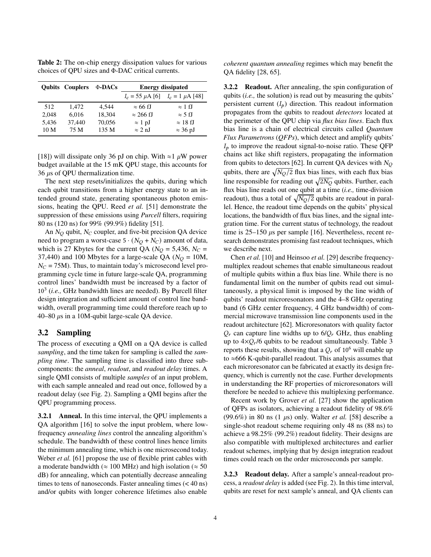Qubits Couplers Φ-DACs Energy dissipated  $I_c = 55 \mu A$  [\[6\]](#page-8-14)  $I_c = 1 \mu A$  [\[48\]](#page-9-15) 512 1,472 4,544  $\approx 66 \text{ fJ} \approx 1 \text{ fJ}$ 2,048 6,016 18,304  $\approx 266 \text{ fJ} \approx 5 \text{ fJ}$ 5,436 37,440 70,056  $\approx 1 \text{ pJ} \approx 18 \text{ fJ}$  $10 \text{ M}$  75 M  $135 \text{ M}$  ≈ 2 nJ ≈ 36 pJ

<span id="page-3-1"></span>Table 2: The on-chip energy dissipation values for various choices of QPU sizes and Φ-DAC critical currents.

[\[18\]](#page-8-21)) will dissipate only 36 pJ on chip. With  $\approx$  1  $\mu$ W power budget available at the 15 mK QPU stage, this accounts for 36  $\mu$ s of QPU thermalization time.

The next step resets/initializes the qubits, during which each qubit transitions from a higher energy state to an intended ground state, generating spontaneous photon emissions, heating the QPU. Reed *et al.* [\[51\]](#page-9-16) demonstrate the suppression of these emissions using *Purcell* filters, requiring 80 ns (120 ns) for 99% (99.9%) fidelity [\[51\]](#page-9-16).

An  $N_Q$  qubit,  $N_C$  coupler, and five-bit precision QA device need to program a worst-case  $5 \cdot (N_O + N_C)$  amount of data, which is 27 Kbytes for the current QA ( $N_Q = 5,436$ ,  $N_C =$ 37,440) and 100 Mbytes for a large-scale QA ( $N<sub>O</sub> = 10M$ ,  $N_C = 75M$ ). Thus, to maintain today's microsecond level programming cycle time in future large-scale QA, programming control lines' bandwidth must be increased by a factor of 10<sup>3</sup> (*i.e.,* GHz bandwidth lines are needed). By Purcell filter design integration and sufficient amount of control line bandwidth, overall programming time could therefore reach up to 40–80  $\mu$ s in a 10M-qubit large-scale QA device.

## <span id="page-3-0"></span>3.2 Sampling

The process of executing a QMI on a QA device is called *sampling*, and the time taken for sampling is called the *sampling time*. The sampling time is classified into three subcomponents: the *anneal*, *readout*, and *readout delay* times. A single QMI consists of multiple *samples* of an input problem, with each sample annealed and read out once, followed by a readout delay (see Fig. [2\)](#page-2-1). Sampling a QMI begins after the QPU programming process.

3.2.1 Anneal. In this time interval, the QPU implements a QA algorithm [\[16\]](#page-8-15) to solve the input problem, where lowfrequency *annealing lines* control the annealing algorithm's schedule. The bandwidth of these control lines hence limits the minimum annealing time, which is one microsecond today. Weber *et al.* [\[61\]](#page-9-17) propose the use of flexible print cables with a moderate bandwidth ( $\approx 100$  MHz) and high isolation ( $\approx 50$ dB) for annealing, which can potentially decrease annealing times to tens of nanoseconds. Faster annealing times (< 40 ns) and/or qubits with longer coherence lifetimes also enable

*coherent quantum annealing* regimes which may benefit the QA fidelity [\[28,](#page-8-24) [65\]](#page-9-18).

3.2.2 Readout. After annealing, the spin configuration of qubits (*i.e.,* the solution) is read out by measuring the qubits' persistent current  $(I_p)$  direction. This readout information propagates from the qubits to readout *detectors* located at the perimeter of the QPU chip via *flux bias lines*. Each flux bias line is a chain of electrical circuits called *Quantum Flux Parametrons* (*QFPs*), which detect and amplify qubits'  $I<sub>p</sub>$  to improve the readout signal-to-noise ratio. These QFP chains act like shift registers, propagating the information from qubits to detectors [\[62\]](#page-9-19). In current QA devices with  $N_O$ qubits, there are  $\sqrt{N_Q/2}$  flux bias lines, with each flux bias line responsible for reading out  $\sqrt{2N_Q}$  qubits. Further, each flux bias line reads out one qubit at a time (*i.e.,* time-division readout), thus a total of  $\sqrt{N_Q/2}$  qubits are readout in parallel. Hence, the readout time depends on the qubits' physical locations, the bandwidth of flux bias lines, and the signal integration time. For the current status of technology, the readout time is  $25-150 \mu s$  per sample [\[16\]](#page-8-15). Nevertheless, recent research demonstrates promising fast readout techniques, which we describe next.

Chen *et al.* [\[10\]](#page-8-25) and Heinsoo *et al.* [\[29\]](#page-8-26) describe frequencymultiplex readout schemes that enable simultaneous readout of multiple qubits within a flux bias line. While there is no fundamental limit on the number of qubits read out simultaneously, a physical limit is imposed by the line width of qubits' readout microresonators and the 4–8 GHz operating band (6 GHz center frequency, 4 GHz bandwidth) of commercial microwave transmission line components used in the readout architecture [\[62\]](#page-9-19). Microresonators with quality factor  $Q_r$  can capture line widths up to  $6/Q_r$  GHz, thus enabling up to  $4 \times Q_r/6$  qubits to be readout simultaneously. Table [3](#page-4-2) reports these results, showing that a  $Q_r$  of 10<sup>6</sup> will enable up to ≈666 K-qubit-parallel readout. This analysis assumes that each microresonator can be fabricated at exactly its design frequency, which is currently not the case. Further developments in understanding the RF properties of microresonators will therefore be needed to achieve this multiplexing performance.

Recent work by Grover *et al.* [\[27\]](#page-8-27) show the application of QFPs as isolators, achieving a readout fidelity of 98.6% (99.6%) in 80 ns (1  $\mu$ s) only. Walter *et al.* [\[58\]](#page-9-20) describe a single-shot readout scheme requiring only 48 ns (88 ns) to achieve a 98.25% (99.2%) readout fidelity. Their designs are also compatible with multiplexed architectures and earlier readout schemes, implying that by design integration readout times could reach on the order microseconds per sample.

3.2.3 Readout delay. After a sample's anneal-readout process, a *readout delay* is added (see Fig. [2\)](#page-2-1). In this time interval, qubits are reset for next sample's anneal, and QA clients can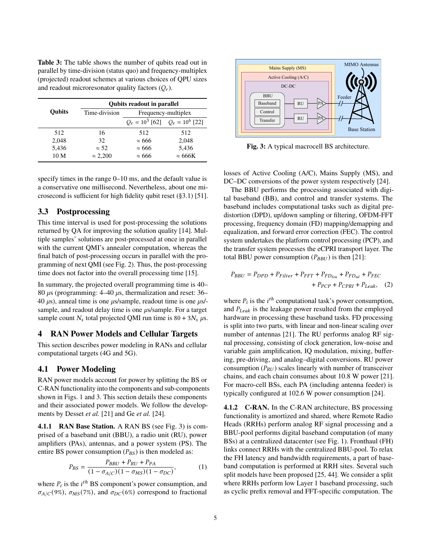<span id="page-4-2"></span>Table 3: The table shows the number of qubits read out in parallel by time-division (status quo) and frequency-multiplex (projected) readout schemes at various choices of QPU sizes and readout microresonator quality factors  $(Q<sub>r</sub>)$ .

|                 | <b>Oubits readout in parallel</b> |                                     |                |  |  |  |  |
|-----------------|-----------------------------------|-------------------------------------|----------------|--|--|--|--|
| <b>Oubits</b>   | Time-division                     | Frequency-multiplex                 |                |  |  |  |  |
|                 |                                   | $Q_r = 10^3$ [62] $Q_r = 10^6$ [22] |                |  |  |  |  |
| 512             | 16                                | 512                                 | 512            |  |  |  |  |
| 2,048           | 32                                | $\approx 666$                       | 2,048          |  |  |  |  |
| 5,436           | $\approx$ 52                      | $\approx 666$                       | 5,436          |  |  |  |  |
| 10 <sub>M</sub> | $\approx 2.200$                   | $\approx 666$                       | $\approx$ 666K |  |  |  |  |
|                 |                                   |                                     |                |  |  |  |  |

specify times in the range 0–10 ms, and the default value is a conservative one millisecond. Nevertheless, about one microsecond is sufficient for high fidelity qubit reset (§3.1) [\[51\]](#page-9-16).

#### <span id="page-4-1"></span>3.3 Postprocessing

This time interval is used for post-processing the solutions returned by QA for improving the solution quality [\[14\]](#page-8-29). Multiple samples' solutions are post-processed at once in parallel with the current QMI's annealer computation, whereas the final batch of post-processing occurs in parallel with the programming of next QMI (see Fig. [2\)](#page-2-1). Thus, the post-processing time does not factor into the overall processing time [\[15\]](#page-8-23).

In summary, the projected overall programming time is 40– 80  $\mu$ s (programming: 4–40  $\mu$ s, thermalization and reset: 36– 40  $\mu$ s), anneal time is one  $\mu$ s/sample, readout time is one  $\mu$ s/sample, and readout delay time is one  $\mu$ s/sample. For a target sample count  $N_s$  total projected QMI run time is 80 + 3 $N_s \mu$ s.

#### <span id="page-4-0"></span>4 RAN Power Models and Cellular Targets

This section describes power modeling in RANs and cellular computational targets (4G and 5G).

#### 4.1 Power Modeling

RAN power models account for power by splitting the BS or C-RAN functionality into the components and sub-components shown in Figs. [1](#page-0-0) and [3.](#page-4-3) This section details these components and their associated power models. We follow the developments by Desset *et al.* [\[21\]](#page-8-30) and Ge *et al.* [\[24\]](#page-8-31).

4.1.1 RAN Base Station. A RAN BS (see Fig. [3\)](#page-4-3) is comprised of a baseband unit (BBU), a radio unit (RU), power amplifiers (PAs), antennas, and a power system (PS). The entire BS power consumption  $(P_{BS})$  is then modeled as:

$$
P_{BS} = \frac{P_{BBU} + P_{RU} + P_{PA}}{(1 - \sigma_{A/C})(1 - \sigma_{MS})(1 - \sigma_{DC})},
$$
 (1)

where  $P_i$  is the  $i^{th}$  BS component's power consumption, and  $\sigma_{A/C}(9\%)$ ,  $\sigma_{MS}(7\%)$ , and  $\sigma_{DC}(6\%)$  correspond to fractional

<span id="page-4-3"></span>

Fig. 3: A typical macrocell BS architecture.

losses of Active Cooling (A/C), Mains Supply (MS), and DC–DC conversions of the power system respectively [\[24\]](#page-8-31).

The BBU performs the processing associated with digital baseband (BB), and control and transfer systems. The baseband includes computational tasks such as digital predistortion (DPD), up/down sampling or filtering, OFDM-FFT processing, frequency domain (FD) mapping/demapping and equalization, and forward error correction (FEC). The control system undertakes the platform control processing (PCP), and the transfer system processes the eCPRI transport layer. The total BBU power consumption  $(P_{BBU})$  is then [\[21\]](#page-8-30):

$$
P_{BBU} = P_{DPD} + P_{Filter} + P_{FFT} + P_{FD_{lin}} + P_{FD_{nl}} + P_{FEC}
$$

$$
+ P_{PCP} + P_{CPRI} + P_{Leak}, \quad (2)
$$

where  $P_i$  is the  $i^{th}$  computational task's power consumption, and  $P_{Leak}$  is the leakage power resulted from the employed hardware in processing these baseband tasks. FD processing is split into two parts, with linear and non-linear scaling over number of antennas [\[21\]](#page-8-30). The RU performs analog RF signal processing, consisting of clock generation, low-noise and variable gain amplification, IQ modulation, mixing, buffering, pre-driving, and analog–digital conversions. RU power consumption  $(P_{RU})$  scales linearly with number of transceiver chains, and each chain consumes about 10.8 W power [\[21\]](#page-8-30). For macro-cell BSs, each PA (including antenna feeder) is typically configured at 102.6 W power consumption [\[24\]](#page-8-31).

4.1.2 C-RAN. In the C-RAN architecture, BS processing functionality is amortized and shared, where Remote Radio Heads (RRHs) perform analog RF signal processing and a BBU-pool performs digital baseband computation (of many BSs) at a centralized datacenter (see Fig. [1\)](#page-0-0). Fronthaul (FH) links connect RRHs with the centralized BBU-pool. To relax the FH latency and bandwidth requirements, a part of baseband computation is performed at RRH sites. Several such split models have been proposed [\[25,](#page-8-32) [44\]](#page-9-21). We consider a split where RRHs perform low Layer 1 baseband processing, such as cyclic prefix removal and FFT-specific computation. The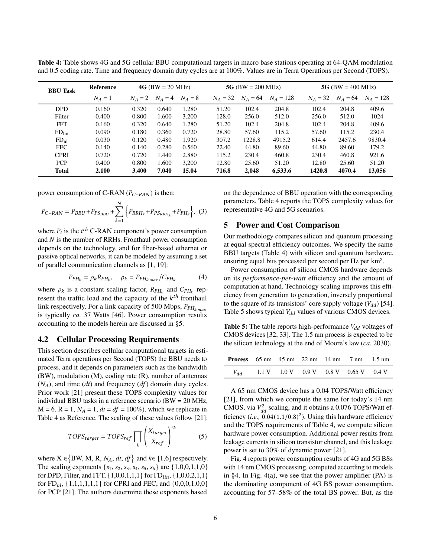| <b>BBU Task</b>   | Reference |           | $4G$ (BW = 20 MHz) |         | 5G (BW = 200 MHz) |            |             | 5G (BW = $400$ MHz) |            |             |
|-------------------|-----------|-----------|--------------------|---------|-------------------|------------|-------------|---------------------|------------|-------------|
|                   | $N_A=1$   | $N_A = 2$ | $N_A = 4$          | $N_A=8$ | $N_A = 32$        | $N_A = 64$ | $N_A = 128$ | $N_A = 32$          | $N_A = 64$ | $N_A = 128$ |
| <b>DPD</b>        | 0.160     | 0.320     | 0.640              | 1.280   | 51.20             | 102.4      | 204.8       | 102.4               | 204.8      | 409.6       |
| Filter            | 0.400     | 0.800     | 1.600              | 3.200   | 128.0             | 256.0      | 512.0       | 256.0               | 512.0      | 1024        |
| <b>FFT</b>        | 0.160     | 0.320     | 0.640              | 1.280   | 51.20             | 102.4      | 204.8       | 102.4               | 204.8      | 409.6       |
| FD <sub>lin</sub> | 0.090     | 0.180     | 0.360              | 0.720   | 28.80             | 57.60      | 115.2       | 57.60               | 115.2      | 230.4       |
| FD <sub>nl</sub>  | 0.030     | 0.120     | 0.480              | 1.920   | 307.2             | 1228.8     | 4915.2      | 614.4               | 2457.6     | 9830.4      |
| <b>FEC</b>        | 0.140     | 0.140     | 0.280              | 0.560   | 22.40             | 44.80      | 89.60       | 44.80               | 89.60      | 179.2       |
| <b>CPRI</b>       | 0.720     | 0.720     | 1.440              | 2.880   | 115.2             | 230.4      | 460.8       | 230.4               | 460.8      | 921.6       |
| <b>PCP</b>        | 0.400     | 0.800     | 1.600              | 3.200   | 12.80             | 25.60      | 51.20       | 12.80               | 25.60      | 51.20       |
| <b>Total</b>      | 2.100     | 3.400     | 7.040              | 15.04   | 716.8             | 2.048      | 6,533.6     | 1420.8              | 4070.4     | 13.056      |

<span id="page-5-1"></span>Table 4: Table shows 4G and 5G cellular BBU computational targets in macro base stations operating at 64-QAM modulation and 0.5 coding rate. Time and frequency domain duty cycles are at 100%. Values are in Terra Operations per Second (TOPS).

power consumption of C-RAN ( $P_{C-RAN}$ ) is then:

$$
P_{C-RAN} = P_{BBU} + P_{PS_{BBU}} + \sum_{k=1}^{N} \left\{ P_{RRH_k} + P_{PS_{RRH_k}} + P_{FH_k} \right\}, (3)
$$

where  $P_i$  is the  $i^{th}$  C-RAN component's power consumption and *N* is the number of RRHs. Fronthaul power consumption depends on the technology, and for fiber-based ethernet or passive optical networks, it can be modeled by assuming a set of parallel communication channels as [\[1,](#page-8-33) [19\]](#page-8-34):

$$
P_{FH_k} = \rho_k R_{FH_k}, \quad \rho_k = P_{FH_k, \max} / C_{FH_k}
$$
(4)

where  $\rho_k$  is a constant scaling factor,  $R_{FH_k}$  and  $C_{FH_k}$  represent the traffic load and the capacity of the  $k^{th}$  fronthaul link respectively. For a link capacity of 500 Mbps,  $P_{FH_{k, max}}$ is typically *ca.* 37 Watts [\[46\]](#page-9-22). Power consumption results accounting to the models herein are discussed in [§5.](#page-5-0)

#### 4.2 Cellular Processing Requirements

This section describes cellular computational targets in estimated Terra operations per Second (TOPS) the BBU needs to process, and it depends on parameters such as the bandwidth (BW), modulation (M), coding rate (R), number of antennas  $(N_A)$ , and time (*dt*) and frequency (*df*) domain duty cycles. Prior work [\[21\]](#page-8-30) present these TOPS complexity values for individual BBU tasks in a reference scenario (BW = 20 MHz,  $M = 6$ ,  $R = 1$ ,  $N_A = 1$ ,  $dt = df = 100\%$ , which we replicate in Table [4](#page-5-1) as Reference. The scaling of these values follow [\[21\]](#page-8-30):

$$
TOPS_{target} = TOPS_{ref} \prod_{k} \left(\frac{X_{target}}{X_{ref}}\right)^{s_k}
$$
 (5)

where  $X \in \{BW, M, R, N_A, dt, df\}$  and  $k \in [1, 6]$  respectively. The scaling exponents  $\{s_1, s_2, s_3, s_4, s_5, s_6\}$  are  $\{1, 0, 0, 1, 1, 0\}$ for DPD, Filter, and FFT,  $\{1,0,0,1,1,1\}$  for  $FD_{lin}$ ,  $\{1,0,0,2,1,1\}$ for  $FD_{nl}$ , {1,1,1,1,1,1} for CPRI and FEC, and {0,0,0,1,0,0} for PCP [\[21\]](#page-8-30). The authors determine these exponents based

on the dependence of BBU operation with the corresponding parameters. Table [4](#page-5-1) reports the TOPS complexity values for representative 4G and 5G scenarios.

### <span id="page-5-0"></span>5 Power and Cost Comparison

Our methodology compares silicon and quantum processing at equal spectral efficiency outcomes. We specify the same BBU targets (Table [4\)](#page-5-1) with silicon and quantum hardware, ensuring equal bits processed per second per Hz per  $km^2$ .

Power consumption of silicon CMOS hardware depends on its *performance-per-watt* efficiency and the amount of computation at hand. Technology scaling improves this efficiency from generation to generation, inversely proportional to the square of its transistors' core supply voltage  $(V_{dd})$  [\[54\]](#page-9-23). Table [5](#page-5-2) shows typical  $V_{dd}$  values of various CMOS devices.

<span id="page-5-2"></span>**Table 5:** The table reports high-performance  $V_{dd}$  voltages of CMOS devices [\[32,](#page-8-35) [33\]](#page-8-3). The 1.5 nm process is expected to be the silicon technology at the end of Moore's law (*ca.* 2030).

| <b>Process</b> $65 \text{ nm}$ $45 \text{ nm}$ $22 \text{ nm}$ $14 \text{ nm}$ $7 \text{ nm}$ $1.5 \text{ nm}$ |  |  |                                                                                                  |  |
|----------------------------------------------------------------------------------------------------------------|--|--|--------------------------------------------------------------------------------------------------|--|
| $V_{dd}$                                                                                                       |  |  | $1.1 \text{ V}$ $1.0 \text{ V}$ $0.9 \text{ V}$ $0.8 \text{ V}$ $0.65 \text{ V}$ $0.4 \text{ V}$ |  |

A 65 nm CMOS device has a 0.04 TOPS/Watt efficiency [\[21\]](#page-8-30), from which we compute the same for today's 14 nm CMOS, via  $V_{dd}^2$  scaling, and it obtains a 0.076 TOPS/Watt efficiency  $(i.e., 0.04(1.1/0.8)^2)$ . Using this hardware efficiency and the TOPS requirements of Table [4,](#page-5-1) we compute silicon hardware power consumption. Additional power results from leakage currents in silicon transistor channel, and this leakage power is set to 30% of dynamic power [\[21\]](#page-8-30).

Fig. [4](#page-6-0) reports power consumption results of 4G and 5G BSs with 14 nm CMOS processing, computed according to models in [§4.](#page-4-0) In Fig. [4\(a\),](#page-6-0) we see that the power amplifier (PA) is the dominating component of 4G BS power consumption, accounting for 57–58% of the total BS power. But, as the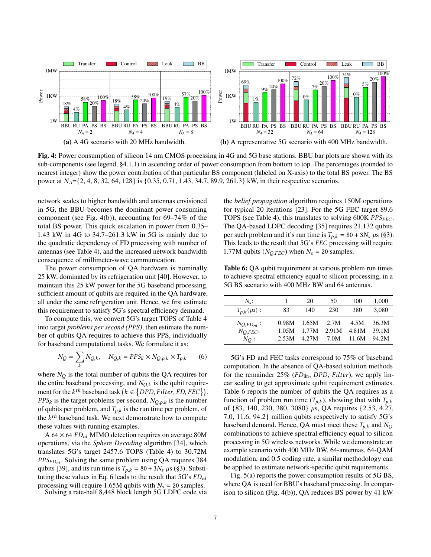<span id="page-6-0"></span>

Fig. 4: Power consumption of silicon 14 nm CMOS processing in 4G and 5G base stations. BBU bar plots are shown with its sub-components (see legend, §4.1.1) in ascending order of power consumption from bottom to top. The percentages (rounded to nearest integer) show the power contribution of that particular BS component (labeled on X-axis) to the total BS power. The BS power at  $N_A = \{2, 4, 8, 32, 64, 128\}$  is  $\{0.35, 0.71, 1.43, 34.7, 89.9, 261.3\}$  kW, in their respective scenarios.

network scales to higher bandwidth and antennas envisioned in 5G, the BBU becomes the dominant power consuming component (see Fig. [4\(b\)\)](#page-6-0), accounting for 69–74% of the total BS power. This quick escalation in power from 0.35– 1.43 kW in 4G to 34.7–261.3 kW in 5G is mainly due to the quadratic dependency of FD processing with number of antennas (see Table [4\)](#page-5-1), and the increased network bandwidth consequence of millimeter-wave communication.

The power consumption of QA hardware is nominally 25 kW, dominated by its refrigeration unit [\[40\]](#page-9-24). However, to maintain this 25 kW power for the 5G baseband processing, sufficient amount of qubits are required in the QA hardware, all under the same refrigeration unit. Hence, we first estimate this requirement to satisfy 5G's spectral efficiency demand.

To compute this, we convert 5G's target TOPS of Table [4](#page-5-1) into target *problems per second (PPS)*, then estimate the number of qubits QA requires to achieve this PPS, individually for baseband computational tasks. We formulate it as:

<span id="page-6-1"></span>
$$
N_Q = \sum_k N_{Q,k}, \quad N_{Q,k} = PPS_k \times N_{Q,p,k} \times T_{p,k} \tag{6}
$$

where  $N_Q$  is the total number of qubits the QA requires for the entire baseband processing, and  $N_{O,k}$  is the qubit requirement for the  $k^{th}$  baseband task  $(k \in \{DPD, Filter, FD, FEC\})$ .  $PPS_k$  is the target problems per second,  $N_{Q,p,k}$  is the number of qubits per problem, and  $T_{p,k}$  is the run time per problem, of the  $k^{th}$  baseband task. We next demonstrate how to compute these values with running examples.

A 64  $\times$  64  $FD_{nl}$  MIMO detection requires on average 80M operations, via the *Sphere Decoding* algorithm [\[34\]](#page-8-36), which translates 5G's target 2457.6 TOPS (Table [4\)](#page-5-1) to 30.72M  $PPS_{FDnl}$ . Solving the same problem using QA requires 384 qubits [\[39\]](#page-9-4), and its run time is  $T_{p,k} = 80 + 3N_s \mu s$  ([§3\)](#page-2-0). Substi-tuting these values in Eq. [6](#page-6-1) leads to the result that  $5G's FD_{nl}$ processing will require 1.65M qubits with  $N_s = 20$  samples.

Solving a rate-half 8,448 block length 5G LDPC code via

the *belief propagation* algorithm requires 150M operations for typical 20 iterations [\[23\]](#page-8-37). For the 5G FEC target 89.6 TOPS (see Table [4\)](#page-5-1), this translates to solving 600K  $PPS_{FEC}$ . The QA-based LDPC decoding [\[35\]](#page-8-11) requires 21,132 qubits per such problem and it's run time is  $T_{p,k} = 80 + 3N_s \mu s$  ([§3\)](#page-2-0). This leads to the result that  $5G$ 's  $FEC$  processing will require 1.77M qubits ( $N_{Q, FEC}$ ) when  $N_s = 20$  samples.

<span id="page-6-2"></span>Table 6: QA qubit requirement at various problem run times to achieve spectral efficiency equal to silicon processing, in a 5G BS scenario with 400 MHz BW and 64 antennas.

| $N_{s}$ :                           |                | 20             | 50            | 100           | 1,000          |
|-------------------------------------|----------------|----------------|---------------|---------------|----------------|
| $T_{p,k}(\mu s):$                   | 83             | 140            | 230           | 380           | 3.080          |
| $N_{O,FD_{nl}}$ :<br>$N_{O, FEC}$ : | 0.98M<br>1.05M | 1.65M<br>1.77M | 2.7M<br>2.91M | 4.5M<br>4.81M | 36.3M<br>39.1M |
| $N_O$ :                             | 2.53M          | 4.27M          | 7.0M          | 11.6M         | 94.2M          |

5G's FD and FEC tasks correspond to 75% of baseband computation. In the absence of QA-based solution methods for the remainder  $25\%$  (FD<sub>lin</sub>, DPD, Filter), we apply linear scaling to get approximate qubit requirement estimates. Table [6](#page-6-2) reports the number of qubits the QA requires as a function of problem run time  $(T_{p,k})$ , showing that with  $T_{p,k}$ of  $\{83, 140, 230, 380, 3080\}$  µs, QA requires  $\{2.53, 4.27,$ 7.0, 11.6, 94.2} million qubits respectively to satisfy 5G's baseband demand. Hence, QA must meet these  $T_{p,k}$  and  $N_Q$ combinations to achieve spectral efficiency equal to silicon processing in 5G wireless networks. While we demonstrate an example scenario with 400 MHz BW, 64-antennas, 64-QAM modulation, and 0.5 coding rate, a similar methodology can be applied to estimate network-specific qubit requirements.

Fig. [5\(a\)](#page-7-0) reports the power consumption results of 5G BS, where QA is used for BBU's baseband processing. In comparison to silicon (Fig. [4\(b\)\)](#page-6-0), QA reduces BS power by 41 kW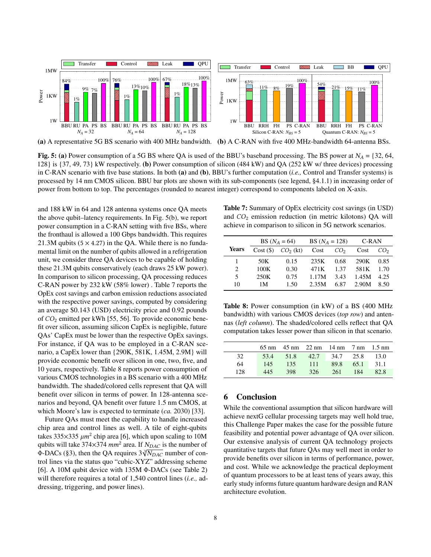<span id="page-7-0"></span>

Fig. 5: (a) Power consumption of a 5G BS where OA is used of the BBU's baseband processing. The BS power at  $N_A = \{32, 64, \dots, 64\}$ 128} is {37, 49, 73} kW respectively. (b) Power consumption of silicon (484 kW) and QA (252 kW w/ three devices) processing in C-RAN scenario with five base stations. In both (a) and (b), BBU's further computation (*i.e.,* Control and Transfer systems) is processed by 14 nm CMOS silicon. BBU bar plots are shown with its sub-components (see legend, §4.1.1) in increasing order of power from bottom to top. The percentages (rounded to nearest integer) correspond to components labeled on X-axis.

and 188 kW in 64 and 128 antenna systems once QA meets the above qubit–latency requirements. In Fig. [5\(b\),](#page-7-0) we report power consumption in a C-RAN setting with five BSs, where the fronthaul is allowed a 100 Gbps bandwidth. This requires 21.3M qubits  $(5 \times 4.27)$  in the QA. While there is no fundamental limit on the number of qubits allowed in a refrigeration unit, we consider three QA devices to be capable of holding these 21.3M qubits conservatively (each draws 25 kW power). In comparison to silicon processing, QA processing reduces C-RAN power by 232 kW (58% lower) . Table [7](#page-7-1) reports the OpEx cost savings and carbon emission reductions associated with the respective power savings, computed by considering an average \$0.143 (USD) electricity price and 0.92 pounds of  $CO<sub>2</sub>$  emitted per kWh [\[55,](#page-9-25) [56\]](#page-9-26). To provide economic benefit over silicon, assuming silicon CapEx is negligible, future QAs' CapEx must be lower than the respective OpEx savings. For instance, if QA was to be employed in a C-RAN scenario, a CapEx lower than {290K, 581K, 1.45M, 2.9M} will provide economic benefit over silicon in one, two, five, and 10 years, respectively. Table [8](#page-7-2) reports power consumption of various CMOS technologies in a BS scenario with a 400 MHz bandwidth. The shaded/colored cells represent that QA will benefit over silicon in terms of power. In 128-antenna scenarios and beyond, QA benefit over future 1.5 nm CMOS, at which Moore's law is expected to terminate (*ca.* 2030) [\[33\]](#page-8-3).

Future QAs must meet the capability to handle increased chip area and control lines as well. A tile of eight-qubits takes 335 $\times$ 335  $\mu$ m<sup>2</sup> chip area [\[6\]](#page-8-14), which upon scaling to 10M qubits will take 374 $\times$ 374 mm<sup>2</sup> area. If  $N_{DAC}$  is the number of Φ-DACs ([§3\)](#page-2-0), then the QA requires  $3\sqrt[3]{N_{DAC}}$  number of control lines via the status quo "cubic-XYZ" addressing scheme [\[6\]](#page-8-14). A 10M qubit device with 135M Φ-DACs (see Table [2\)](#page-3-1) will therefore requires a total of 1,540 control lines (*i.e.,* addressing, triggering, and power lines).

<span id="page-7-1"></span>Table 7: Summary of OpEx electricity cost savings (in USD) and  $CO<sub>2</sub>$  emission reduction (in metric kilotons) QA will achieve in comparison to silicon in 5G network scenarios.

|       |      | BS $(N_A = 64)$      | BS $(N_A = 128)$ |                 | C-RAN |                 |
|-------|------|----------------------|------------------|-----------------|-------|-----------------|
| Years |      | $Cost(S)$ $CO2$ (kt) | Cost             | CO <sub>2</sub> | Cost  | CO <sub>2</sub> |
|       | 50K  | 0.15                 | 235K             | 0.68            | 290K  | 0.85            |
| 2     | 100K | 0.30                 | 471K             | 1.37            | 581K  | 1.70            |
| 5     | 250K | 0.75                 | 1.17M            | 3.43            | 1.45M | 4.25            |
| 10    | 1 M  | 1.50                 | 2.35M            | 6.87            | 2.90M | 8.50            |

<span id="page-7-2"></span>Table 8: Power consumption (in kW) of a BS (400 MHz bandwidth) with various CMOS devices (*top row*) and antennas (*left column*). The shaded/colored cells reflect that QA computation takes lesser power than silicon in that scenario.

|     |      |      | $65 \text{ nm}$ 45 nm 22 nm 14 nm 7 nm 1.5 nm |           |      |       |
|-----|------|------|-----------------------------------------------|-----------|------|-------|
| 32  | 53.4 | 51.8 | 42.7                                          | 34.7 25.8 |      | -13.0 |
| 64  | 145  | 135  | 111                                           | 89.8      | 65.1 | 31.1  |
| 128 | 445  | 398  | 326                                           | 261       | 184  | 82.8  |
|     |      |      |                                               |           |      |       |

## 6 Conclusion

While the conventional assumption that silicon hardware will achieve nextG cellular processing targets may well hold true, this Challenge Paper makes the case for the possible future feasibility and potential power advantage of QA over silicon. Our extensive analysis of current QA technology projects quantitative targets that future QAs may well meet in order to provide benefits over silicon in terms of performance, power, and cost. While we acknowledge the practical deployment of quantum processors to be at least tens of years away, this early study informs future quantum hardware design and RAN architecture evolution.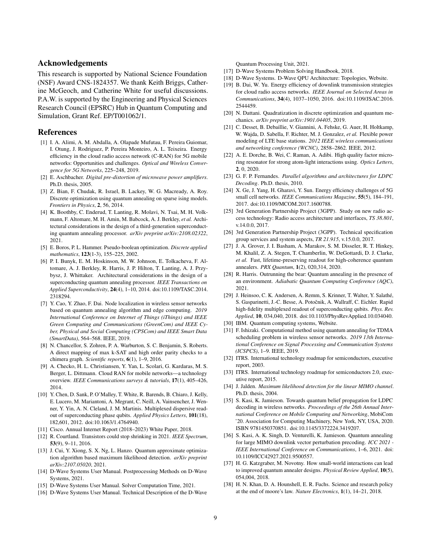#### Acknowledgements

This research is supported by National Science Foundation (NSF) Award CNS-1824357. We thank Keith Briggs, Catherine McGeoch, and Catherine White for useful discussions. P.A.W. is supported by the Engineering and Physical Sciences Research Council (EPSRC) Hub in Quantum Computing and Simulation, Grant Ref. EP/T001062/1.

## References

- <span id="page-8-33"></span>[1] I. A. Alimi, A. M. Abdalla, A. Olapade Mufutau, F. Pereira Guiomar, I. Otung, J. Rodriguez, P. Pereira Monteiro, A. L. Teixeira. Energy efficiency in the cloud radio access network (C-RAN) for 5G mobile networks: Opportunities and challenges. *Optical and Wireless Convergence for 5G Networks*, 225–248, 2019.
- <span id="page-8-18"></span>[2] E. Aschbacher. *Digital pre-distortion of microwave power amplifiers*. Ph.D. thesis, 2005.
- <span id="page-8-6"></span>[3] Z. Bian, F. Chudak, R. Israel, B. Lackey, W. G. Macready, A. Roy. Discrete optimization using quantum annealing on sparse ising models. *Frontiers in Physics*, 2, 56, 2014.
- <span id="page-8-13"></span>[4] K. Boothby, C. Enderud, T. Lanting, R. Molavi, N. Tsai, M. H. Volkmann, F. Altomare, M. H. Amin, M. Babcock, A. J. Berkley, *et al.* Architectural considerations in the design of a third-generation superconducting quantum annealing processor. *arXiv preprint arXiv:2108.02322*, 2021.
- <span id="page-8-19"></span>[5] E. Boros, P. L. Hammer. Pseudo-boolean optimization. *Discrete applied mathematics*, 123(1-3), 155–225, 2002.
- <span id="page-8-14"></span>[6] P. I. Bunyk, E. M. Hoskinson, M. W. Johnson, E. Tolkacheva, F. Altomare, A. J. Berkley, R. Harris, J. P. Hilton, T. Lanting, A. J. Przybysz, J. Whittaker. Architectural considerations in the design of a superconducting quantum annealing processor. *IEEE Transactions on Applied Superconductivity*, 24(4), 1–10, 2014. doi:10.1109/TASC.2014. 2318294.
- <span id="page-8-7"></span>[7] Y. Cao, Y. Zhao, F. Dai. Node localization in wireless sensor networks based on quantum annealing algorithm and edge computing. *2019 International Conference on Internet of Things (iThings) and IEEE Green Computing and Communications (GreenCom) and IEEE Cyber, Physical and Social Computing (CPSCom) and IEEE Smart Data (SmartData)*, 564–568. IEEE, 2019.
- <span id="page-8-8"></span>[8] N. Chancellor, S. Zohren, P. A. Warburton, S. C. Benjamin, S. Roberts. A direct mapping of max k-SAT and high order parity checks to a chimera graph. *Scientific reports*, 6(1), 1–9, 2016.
- <span id="page-8-5"></span>[9] A. Checko, H. L. Christiansen, Y. Yan, L. Scolari, G. Kardaras, M. S. Berger, L. Dittmann. Cloud RAN for mobile networks—a technology overview. *IEEE Communications surveys & tutorials*, 17(1), 405–426, 2014.
- <span id="page-8-25"></span>[10] Y. Chen, D. Sank, P. O'Malley, T. White, R. Barends, B. Chiaro, J. Kelly, E. Lucero, M. Mariantoni, A. Megrant, C. Neill, A. Vainsencher, J. Wenner, Y. Yin, A. N. Cleland, J. M. Martinis. Multiplexed dispersive readout of superconducting phase qubits. *Applied Physics Letters*, 101(18), 182,601, 2012. doi:10.1063/1.4764940.
- <span id="page-8-0"></span>[11] Cisco. Annual Internet Report (2018–2023) White Paper, 2018.
- <span id="page-8-2"></span>[12] R. Courtland. Transistors could stop shrinking in 2021. *IEEE Spectrum*, 53(9), 9–11, 2016.
- <span id="page-8-9"></span>[13] J. Cui, Y. Xiong, S. X. Ng, L. Hanzo. Quantum approximate optimization algorithm based maximum likelihood detection. *arXiv preprint arXiv:2107.05020*, 2021.
- <span id="page-8-29"></span>[14] D-Wave Systems User Manual. Postprocessing Methods on D-Wave Systems, 2021.
- <span id="page-8-23"></span>[15] D-Wave Systems User Manual. Solver Computation Time, 2021.
- <span id="page-8-15"></span>[16] D-Wave Systems User Manual. Technical Description of the D-Wave

Quantum Processing Unit, 2021.

- <span id="page-8-16"></span>[17] D-Wave Systems Problem Solving Handbook, 2018.
- <span id="page-8-21"></span>[18] D-Wave Systems. D-Wave QPU Architecture: Topologies, Website.
- <span id="page-8-34"></span>[19] B. Dai, W. Yu. Energy efficiency of downlink transmission strategies for cloud radio access networks. *IEEE Journal on Selected Areas in Communications*, 34(4), 1037–1050, 2016. doi:10.1109/JSAC.2016. 2544459.
- <span id="page-8-20"></span>[20] N. Dattani. Quadratization in discrete optimization and quantum mechanics. *arXiv preprint arXiv:1901.04405*, 2019.
- <span id="page-8-30"></span>[21] C. Desset, B. Debaillie, V. Giannini, A. Fehske, G. Auer, H. Holtkamp, W. Wajda, D. Sabella, F. Richter, M. J. Gonzalez, *et al.* Flexible power modeling of LTE base stations. *2012 IEEE wireless communications and networking conference (WCNC)*, 2858–2862. IEEE, 2012.
- <span id="page-8-28"></span>[22] A. E. Dorche, B. Wei, C. Raman, A. Adibi. High quality factor microring resonator for strong atom-light interactions using. *Optics Letters*, 2, 0, 2020.
- <span id="page-8-37"></span>[23] G. F. P. Fernandes. *Parallel algorithms and architectures for LDPC Decoding*. Ph.D. thesis, 2010.
- <span id="page-8-31"></span>[24] X. Ge, J. Yang, H. Gharavi, Y. Sun. Energy efficiency challenges of 5G small cell networks. *IEEE Communications Magazine*, 55(5), 184–191, 2017. doi:10.1109/MCOM.2017.1600788.
- <span id="page-8-32"></span>[25] 3rd Generation Partnership Project (3GPP). Study on new radio access technology: Radio access architecture and interfaces, *TS 38.801*, v.14.0.0, 2017.
- <span id="page-8-1"></span>[26] 3rd Generation Partnership Project (3GPP). Technical specification group services and system aspects, *TR 21.915*, v.15.0.0, 2017.
- <span id="page-8-27"></span>[27] J. A. Grover, J. I. Basham, A. Marakov, S. M. Disseler, R. T. Hinkey, M. Khalil, Z. A. Stegen, T. Chamberlin, W. DeGottardi, D. J. Clarke, *et al.* Fast, lifetime-preserving readout for high-coherence quantum annealers. *PRX Quantum*, 1(2), 020,314, 2020.
- <span id="page-8-24"></span>[28] R. Harris. Outrunning the bear: Quantum annealing in the presence of an environment. *Adiabatic Quantum Computing Conference (AQC)*, 2021.
- <span id="page-8-26"></span>[29] J. Heinsoo, C. K. Andersen, A. Remm, S. Krinner, T. Walter, Y. Salathé, S. Gasparinetti, J.-C. Besse, A. Potočnik, A. Wallraff, C. Eichler. Rapid high-fidelity multiplexed readout of superconducting qubits. *Phys. Rev. Applied*, 10, 034,040, 2018. doi:10.1103/PhysRevApplied.10.034040.
- <span id="page-8-17"></span>[30] IBM. Quantum computing systems, Website.
- <span id="page-8-10"></span>[31] F. Ishizaki. Computational method using quantum annealing for TDMA scheduling problem in wireless sensor networks. *2019 13th International Conference on Signal Processing and Communication Systems (ICSPCS)*, 1–9. IEEE, 2019.
- <span id="page-8-35"></span>[32] ITRS. International technology roadmap for semiconductors, executive report, 2003.
- <span id="page-8-3"></span>[33] ITRS. International technology roadmap for semiconductors 2.0, executive report, 2015.
- <span id="page-8-36"></span>[34] J. Jalden. *Maximum likelihood detection for the linear MIMO channel*. Ph.D. thesis, 2004.
- <span id="page-8-11"></span>[35] S. Kasi, K. Jamieson. Towards quantum belief propagation for LDPC decoding in wireless networks. *Proceedings of the 26th Annual International Conference on Mobile Computing and Networking*, MobiCom '20. Association for Computing Machinery, New York, NY, USA, 2020. ISBN 9781450370851. doi:10.1145/3372224.3419207.
- <span id="page-8-12"></span>[36] S. Kasi, A. K. Singh, D. Venturelli, K. Jamieson. Quantum annealing for large MIMO downlink vector perturbation precoding. *ICC 2021 - IEEE International Conference on Communications*, 1–6, 2021. doi: 10.1109/ICC42927.2021.9500557.
- <span id="page-8-22"></span>[37] H. G. Katzgraber, M. Novotny. How small-world interactions can lead to improved quantum annealer designs. *Physical Review Applied*, 10(5), 054,004, 2018.
- <span id="page-8-4"></span>[38] H. N. Khan, D. A. Hounshell, E. R. Fuchs. Science and research policy at the end of moore's law. *Nature Electronics*, 1(1), 14–21, 2018.